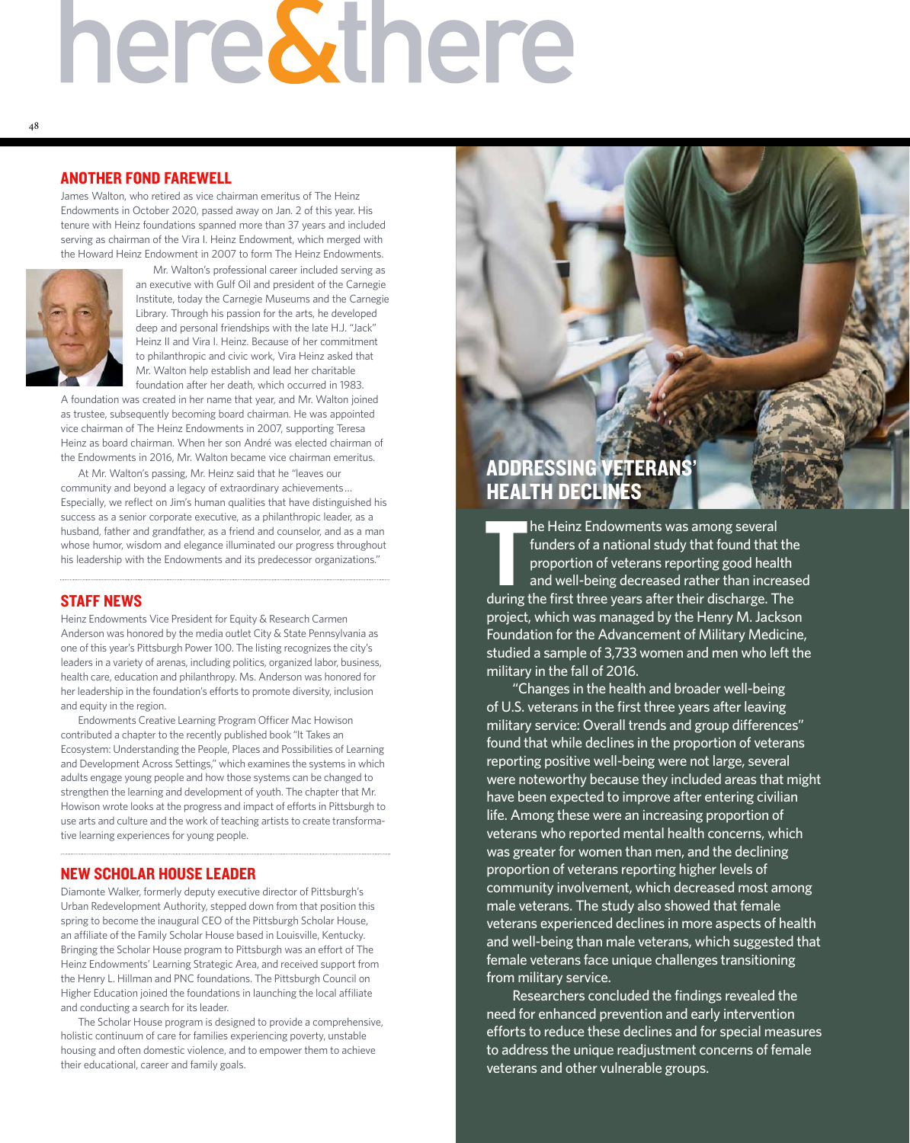# here&there

### ANOTHER FOND FAREWELL

James Walton, who retired as vice chairman emeritus of The Heinz Endowments in October 2020, passed away on Jan. 2 of this year. His tenure with Heinz foundations spanned more than 37 years and included serving as chairman of the Vira I. Heinz Endowment, which merged with the Howard Heinz Endowment in 2007 to form The Heinz Endowments.



Mr. Walton's professional career included serving as an executive with Gulf Oil and president of the Carnegie Institute, today the Carnegie Museums and the Carnegie Library. Through his passion for the arts, he developed deep and personal friendships with the late H.J. "Jack" Heinz II and Vira I. Heinz. Because of her commitment to philanthropic and civic work, Vira Heinz asked that Mr. Walton help establish and lead her charitable foundation after her death, which occurred in 1983.

A foundation was created in her name that year, and Mr. Walton joined as trustee, subsequently becoming board chairman. He was appointed vice chairman of The Heinz Endowments in 2007, supporting Teresa Heinz as board chairman. When her son André was elected chairman of the Endowments in 2016, Mr. Walton became vice chairman emeritus.

At Mr. Walton's passing, Mr. Heinz said that he "leaves our community and beyond a legacy of extraordinary achievements … Especially, we reflect on Jim's human qualities that have distinguished his success as a senior corporate executive, as a philanthropic leader, as a husband, father and grandfather, as a friend and counselor, and as a man whose humor, wisdom and elegance illuminated our progress throughout his leadership with the Endowments and its predecessor organizations."

# STAFF NEWS

Heinz Endowments Vice President for Equity & Research Carmen Anderson was honored by the media outlet City & State Pennsylvania as one of this year's Pittsburgh Power 100. The listing recognizes the city's leaders in a variety of arenas, including politics, organized labor, business, health care, education and philanthropy. Ms. Anderson was honored for her leadership in the foundation's efforts to promote diversity, inclusion and equity in the region.

Endowments Creative Learning Program Officer Mac Howison contributed a chapter to the recently published book "It Takes an Ecosystem: Understanding the People, Places and Possibilities of Learning and Development Across Settings," which examines the systems in which adults engage young people and how those systems can be changed to strengthen the learning and development of youth. The chapter that Mr. Howison wrote looks at the progress and impact of efforts in Pittsburgh to use arts and culture and the work of teaching artists to create transformative learning experiences for young people.

### NEW SCHOLAR HOUSE LEADER

Diamonte Walker, formerly deputy executive director of Pittsburgh's Urban Redevelopment Authority, stepped down from that position this spring to become the inaugural CEO of the Pittsburgh Scholar House, an affiliate of the Family Scholar House based in Louisville, Kentucky. Bringing the Scholar House program to Pittsburgh was an effort of The Heinz Endowments' Learning Strategic Area, and received support from the Henry L. Hillman and PNC foundations. The Pittsburgh Council on Higher Education joined the foundations in launching the local affiliate and conducting a search for its leader.

The Scholar House program is designed to provide a comprehensive, holistic continuum of care for families experiencing poverty, unstable housing and often domestic violence, and to empower them to achieve their educational, career and family goals.

# ADDRESSING VETERANS' HEALTH DECLINES

The Heinz Endowments was among several<br>funders of a national study that found that the<br>proportion of veterans reporting good health<br>and well-being decreased rather than increase<br>during the first three years after their dis he Heinz Endowments was among several funders of a national study that found that the proportion of veterans reporting good health and well-being decreased rather than increased project, which was managed by the Henry M. Jackson Foundation for the Advancement of Military Medicine, studied a sample of 3,733 women and men who left the military in the fall of 2016.

"Changes in the health and broader well-being of U.S. veterans in the first three years after leaving military service: Overall trends and group differences" found that while declines in the proportion of veterans reporting positive well-being were not large, several were noteworthy because they included areas that might have been expected to improve after entering civilian life. Among these were an increasing proportion of veterans who reported mental health concerns, which was greater for women than men, and the declining proportion of veterans reporting higher levels of community involvement, which decreased most among male veterans. The study also showed that female veterans experienced declines in more aspects of health and well-being than male veterans, which suggested that female veterans face unique challenges transitioning from military service.

Researchers concluded the findings revealed the need for enhanced prevention and early intervention efforts to reduce these declines and for special measures to address the unique readjustment concerns of female veterans and other vulnerable groups.